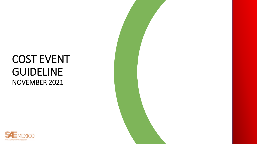## COST EVENT GUIDELINE NOVEMBER 2021



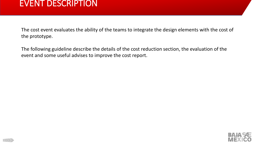#### EVENT DESCRIPTION

The cost event evaluates the ability of the teams to integrate the design elements with the cost of the prototype.

The following guideline describe the details of the cost reduction section, the evaluation of the event and some useful advises to improve the cost report.

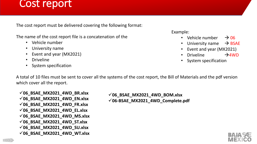### Cost report

The cost report must be delivered covering the following format:

The name of the cost report file is a concatenation of the

- Vehicle number
- University name
- Event and year (MX2021)
- Driveline
- System specification

Example:

- Vehicle number  $\rightarrow$  06
- University name  $\rightarrow$  BSAE
- Event and year (MX2021)
- Driveline  $\rightarrow$ 4WD
- System specification

A total of 10 files must be sent to cover all the systems of the cost report, the Bill of Materials and the pdf version which cover all the report.

✓**06\_BSAE\_MX2021\_4WD\_BR.xlsx**  ✓**06\_BSAE\_MX2021\_4WD\_EN.xlsx**  ✓**06\_BSAE\_MX2021\_4WD\_FR.xlsx**  ✓**06\_BSAE\_MX2021\_4WD\_EL.xlsx**  ✓**06\_BSAE\_MX2021\_4WD\_MS.xlsx**  ✓**06\_BSAE\_MX2021\_4WD\_ST.xlsx** ✓**06\_BSAE\_MX2021\_4WD\_SU.xlsx**  ✓**06\_BSAE\_MX2021\_4WD\_WT.xlsx** 

✓**06\_BSAE\_MX2021\_4WD\_BOM.xlsx** ✓**06-BSAE\_MX2021\_4WD\_Complete.pdf** 

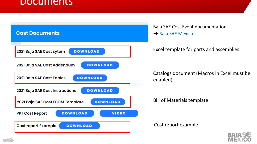#### Documents



Baja SAE Cost Event documentation → [Baja SAE México](https://www.saemx.org/baja-sae-rules)

Excel template for parts and assemblies

Catalogs document (Macros in Excel must be enabled)

Bill of Materials template

Cost report example

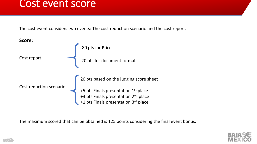#### Cost event score

The cost event considers two events: The cost reduction scenario and the cost report.



The maximum scored that can be obtained is 125 points considering the final event bonus.

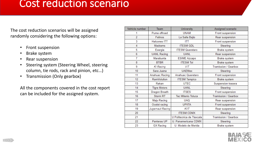#### Cost reduction scenario

The cost reduction scenarios will be assigned randomly considering the following options:

- Front suspension
- Brake system
- Rear suspension
- Steering system (Steering Wheel, steering column, tie rods, rack and pinion, etc…)
- Transmission (Only gearbox)

All the components covered in the cost report can be included for the assigned system.

| Vehicle number | Team                | University                | Assigned scenario    |  |
|----------------|---------------------|---------------------------|----------------------|--|
| 1              | Puma offroad        | <b>UNAM</b>               | Front suspension     |  |
| $\overline{2}$ | Felinos             | La Salle Bajio            | Rear suspension      |  |
| 3              | <b>Halcones ITT</b> | <b>ITT</b>                | Front suspension     |  |
| 4              | Madrams             | <b>ITESM GDL</b>          | Steering             |  |
| 5              | Exergia             | <b>ITESM Queretaro</b>    | Brake system         |  |
| 6              | <b>UANL Racing</b>  | <b>UANL</b>               | Rear suspension      |  |
| 7              | Marabunta           | <b>ESIME Azcapo</b>       | Brake system         |  |
| 8              | <b>BTBR</b>         | <b>ITESM Tol</b>          | Brake system         |  |
| 9              | KI Racing           | VIT                       | Tramission / Gearbox |  |
| 10             | Sara Juana          | <b>UAEMex</b>             | Steering             |  |
| 11             | Anahuac Racing      | Anahuac Queretaro         | Front suspension     |  |
| 12             | <b>RamVolution</b>  | <b>ITESM Tampico</b>      | Brake system         |  |
| 13             | Rakan               | <b>UTEC</b>               | Suspension trasera   |  |
| 14             | <b>Tigre Motors</b> | <b>UANL</b>               | Steering             |  |
| 15             | Dragon Breath       | <b>ITSES</b>              | Front suspension     |  |
| 16             | Storm <sub>RT</sub> | <b>Tec Milenio Toluca</b> | Tramission / Gearbox |  |
| 17             | Maju Racing         | <b>UAQ</b>                | Rear suspension      |  |
| 18             | Ocelot racing       | <b>UPIITA</b>             | Front suspension     |  |
| 19             | Jugernaut Racing    | KIIT                      | Rear suspension      |  |
| 20             |                     | <b>ITESM CDMX</b>         | Steering             |  |
| 21             |                     | U Politecnica de Tlaxcala | Tramission / Gearbox |  |
| 22             | Panteras UP         | U. Panamericana CDMX      | Steering             |  |
| 23             | <b>GX</b> Racing    | U. Modelo de Merida       | <b>Brake system</b>  |  |

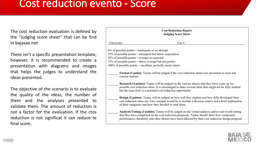#### Cost reduction evento - Score

The cost reduction evaluation is defined by the "Judging score sheet" that can be find in bajasae.net

There isn't a specific presentation template, however, it is recommended to create a presentation with diagrams and images that helps the judges to understand the ideas presented.

The objective of the scenario is to evaluate the quality of the ideas, the number of them and the analyses presented to validate them. The amount of reduction is not a factor for the evaluation. If the ctos reduction is not significat it can reduce te final score.

| <b>Cost Reduction Report</b><br><b>Judging Score Sheet</b>                                                                |                                                                                                                                                                                                                                                                                                           |  |  |  |  |  |
|---------------------------------------------------------------------------------------------------------------------------|-----------------------------------------------------------------------------------------------------------------------------------------------------------------------------------------------------------------------------------------------------------------------------------------------------------|--|--|--|--|--|
| University:                                                                                                               | $Car \#:$                                                                                                                                                                                                                                                                                                 |  |  |  |  |  |
|                                                                                                                           | $0\%$ of possible points = inadequate or no attempt                                                                                                                                                                                                                                                       |  |  |  |  |  |
| $25\%$ of possible points = attempted but below expectation                                                               |                                                                                                                                                                                                                                                                                                           |  |  |  |  |  |
| $50\%$ of possible points = average or expected                                                                           |                                                                                                                                                                                                                                                                                                           |  |  |  |  |  |
| 75% of possible points = above average but not perfect<br>$100\%$ of possible points = excellent, perfectly meets intent  |                                                                                                                                                                                                                                                                                                           |  |  |  |  |  |
| <b>Format (1 point):</b> Teams will be judged if the cost reduction idea(s) are presented in clear and<br>concise manner. |                                                                                                                                                                                                                                                                                                           |  |  |  |  |  |
|                                                                                                                           | <b>Research (4 points):</b> Teams will be judged on the various idea(s) that they have come up for<br>possible cost reduction ideas. It is encouraged to share several ideas that might not be fully studied<br>but the team feels is a potential cost reduction opportunity.                             |  |  |  |  |  |
|                                                                                                                           | Design (2 points): Teams will be judged on how well they explain and how fully developed their<br>cost reduction ideas are. One example would be to include a decision matrix and a brief explanation<br>of their categories and how they decided to rank them.                                           |  |  |  |  |  |
|                                                                                                                           | Analysis/Testing (3 points): Teams will be judged on the virtual analysis and/or real-world testing<br>that they have completed on the cost reduction proposals. Teams should show how component<br>performance, durability and other factors have been affected by their cost reduction design proposal. |  |  |  |  |  |

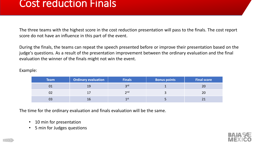#### Cost reduction Finals

The three teams with the highest score in the cost reduction presentation will pass to the finals. The cost report score do not have an influence in this part of the event.

During the finals, the teams can repeat the speech presented before or improve their presentation based on the judge's questions. As a result of the presentation improvement between the ordinary evaluation and the final evaluation the winner of the finals might not win the event.

Example:

| <b>Team</b> | <b>Ordinary evaluation</b> | <b>Finals</b> | <b>Bonus points</b> | <b>Final score</b> |
|-------------|----------------------------|---------------|---------------------|--------------------|
| 01          | 19                         | 2rd           |                     | 20                 |
| 02          |                            | 2nd           |                     | 20                 |
| 03          | 16                         | 1 st          |                     |                    |

The time for the ordinary evaluation and finals evaluation will be the same.

- 10 min for presentation
- 5 min for Judges questions